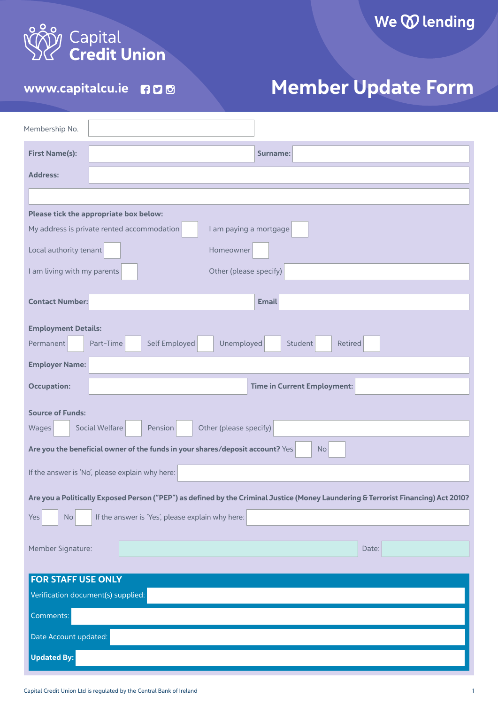

## WWW.capitalcu.ie not all aller Member Update Form

| Membership No.                                                                                                                     |
|------------------------------------------------------------------------------------------------------------------------------------|
| <b>First Name(s):</b><br>Surname:                                                                                                  |
| <b>Address:</b>                                                                                                                    |
|                                                                                                                                    |
| Please tick the appropriate box below:                                                                                             |
| My address is private rented accommodation<br>I am paying a mortgage                                                               |
| Local authority tenant<br>Homeowner                                                                                                |
| I am living with my parents<br>Other (please specify)                                                                              |
| <b>Contact Number:</b><br><b>Email</b>                                                                                             |
|                                                                                                                                    |
| <b>Employment Details:</b>                                                                                                         |
| Self Employed<br>Unemployed<br>Part-Time<br>Student<br>Retired<br>Permanent                                                        |
| <b>Employer Name:</b>                                                                                                              |
| Time in Current Employment:<br><b>Occupation:</b>                                                                                  |
| <b>Source of Funds:</b>                                                                                                            |
| Other (please specify)<br>Social Welfare<br>Pension<br>Wages                                                                       |
| Are you the beneficial owner of the funds in your shares/deposit account? Yes<br><b>No</b>                                         |
| If the answer is 'No', please explain why here:                                                                                    |
| Are you a Politically Exposed Person ("PEP") as defined by the Criminal Justice (Money Laundering & Terrorist Financing) Act 2010? |
| If the answer is 'Yes', please explain why here:<br>Yes<br>No                                                                      |
|                                                                                                                                    |
| Member Signature:<br>Date:                                                                                                         |
| <b>FOR STAFF USE ONLY</b>                                                                                                          |
| Verification document(s) supplied:                                                                                                 |
| Comments:                                                                                                                          |
| Date Account updated:                                                                                                              |
| <b>Updated By:</b>                                                                                                                 |